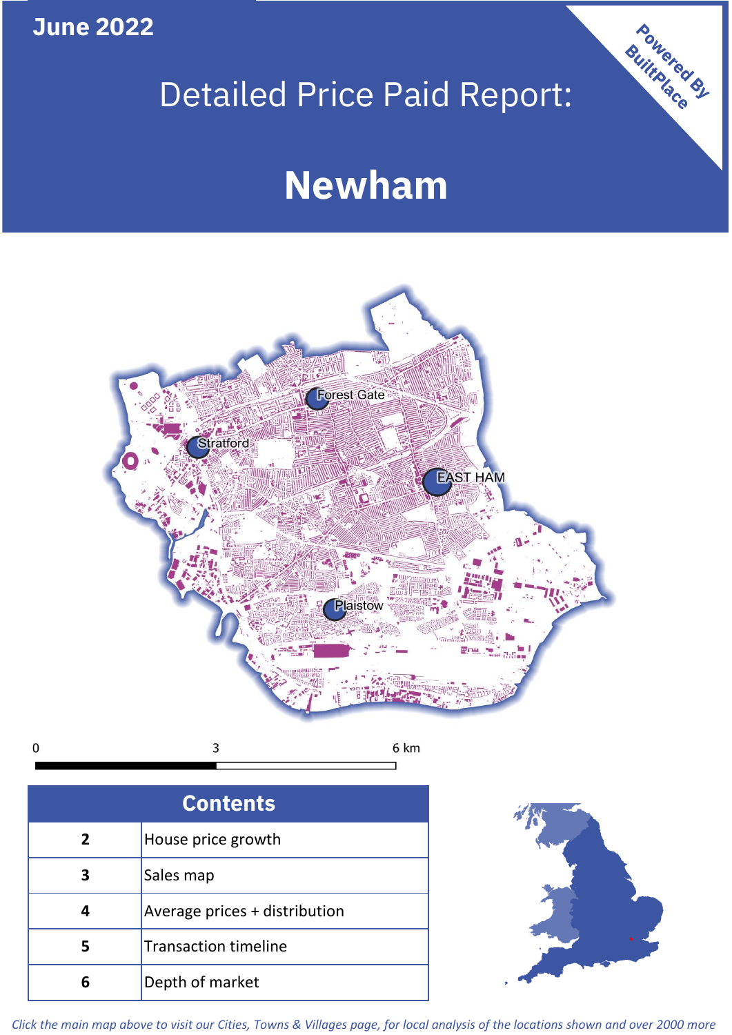**June 2022**

# Detailed Price Paid Report:

# **Newham**



3  $\mathbf 0$ 6 km

| <b>Contents</b> |                               |  |  |
|-----------------|-------------------------------|--|--|
| $\overline{2}$  | House price growth            |  |  |
| 3               | Sales map                     |  |  |
| 4               | Average prices + distribution |  |  |
| 5               | <b>Transaction timeline</b>   |  |  |
|                 | Depth of market               |  |  |



Powered By

*Click the main map above to visit our Cities, Towns & Villages page, for local analysis of the locations shown and over 2000 more*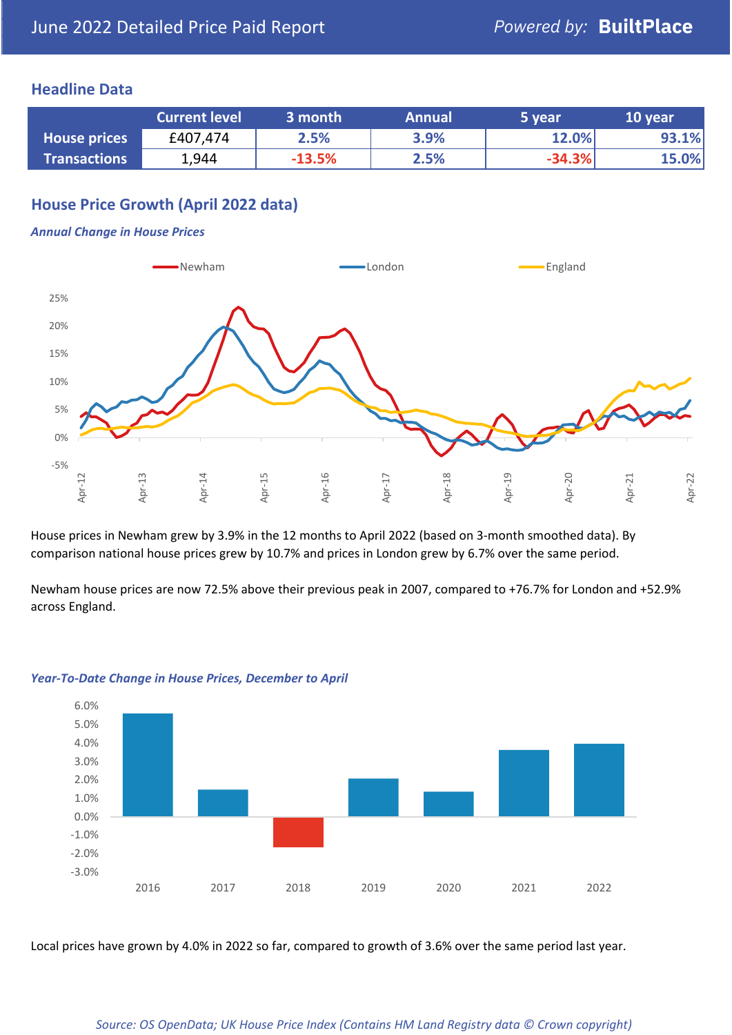## **Headline Data**

|                     | <b>Current level</b> | 3 month  | <b>Annual</b> | 5 year   | 10 year |
|---------------------|----------------------|----------|---------------|----------|---------|
| <b>House prices</b> | £407,474             | 2.5%     | 3.9%          | 12.0%    | 93.1%   |
| <b>Transactions</b> | 1,944                | $-13.5%$ | 2.5%          | $-34.3%$ | 15.0%   |

# **House Price Growth (April 2022 data)**

#### *Annual Change in House Prices*



House prices in Newham grew by 3.9% in the 12 months to April 2022 (based on 3-month smoothed data). By comparison national house prices grew by 10.7% and prices in London grew by 6.7% over the same period.

Newham house prices are now 72.5% above their previous peak in 2007, compared to +76.7% for London and +52.9% across England.



### *Year-To-Date Change in House Prices, December to April*

Local prices have grown by 4.0% in 2022 so far, compared to growth of 3.6% over the same period last year.

#### *Source: OS OpenData; UK House Price Index (Contains HM Land Registry data © Crown copyright)*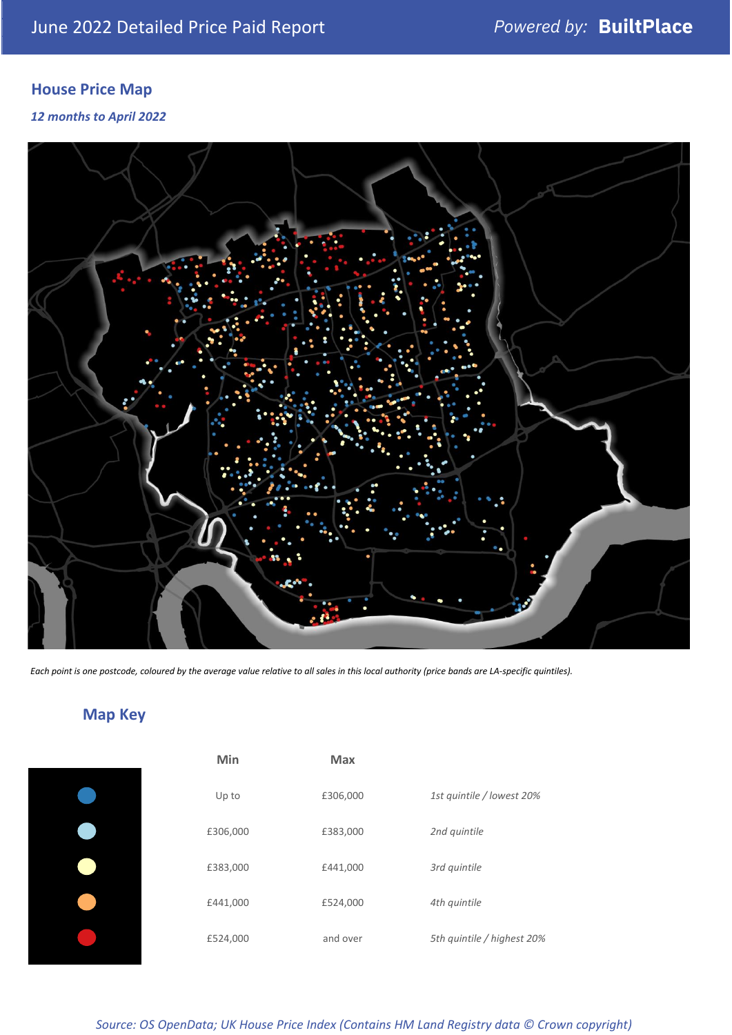# **House Price Map**

*12 months to April 2022*



*Each point is one postcode, coloured by the average value relative to all sales in this local authority (price bands are LA-specific quintiles).*

**Map Key**

| Min      | <b>Max</b> |                            |
|----------|------------|----------------------------|
| Up to    | £306,000   | 1st quintile / lowest 20%  |
| £306,000 | £383,000   | 2nd quintile               |
| £383,000 | £441,000   | 3rd quintile               |
| £441,000 | £524,000   | 4th quintile               |
| £524,000 | and over   | 5th quintile / highest 20% |

#### *Source: OS OpenData; UK House Price Index (Contains HM Land Registry data © Crown copyright)*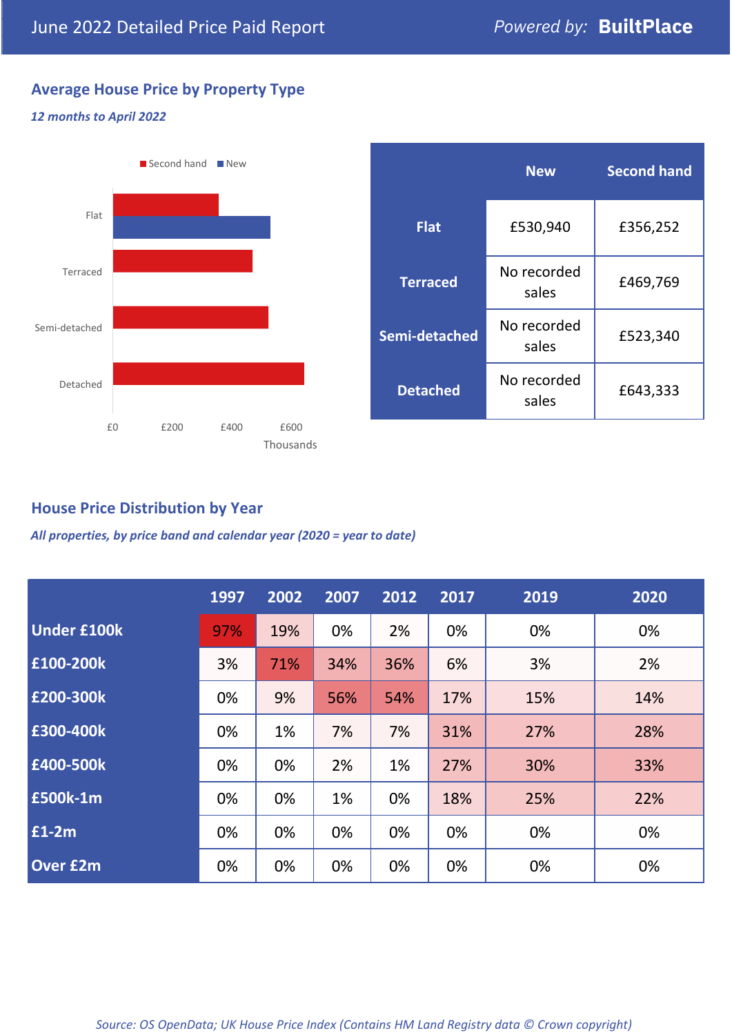# **Average House Price by Property Type**

### *12 months to April 2022*



|                 | <b>New</b>           | <b>Second hand</b> |  |
|-----------------|----------------------|--------------------|--|
| <b>Flat</b>     | £530,940             | £356,252           |  |
| <b>Terraced</b> | No recorded<br>sales | £469,769           |  |
| Semi-detached   | No recorded<br>sales | £523,340           |  |
| <b>Detached</b> | No recorded<br>sales | £643,333           |  |

# **House Price Distribution by Year**

*All properties, by price band and calendar year (2020 = year to date)*

|                    | 1997 | 2002 | 2007 | 2012 | 2017 | 2019 | 2020 |
|--------------------|------|------|------|------|------|------|------|
| <b>Under £100k</b> | 97%  | 19%  | 0%   | 2%   | 0%   | 0%   | 0%   |
| £100-200k          | 3%   | 71%  | 34%  | 36%  | 6%   | 3%   | 2%   |
| E200-300k          | 0%   | 9%   | 56%  | 54%  | 17%  | 15%  | 14%  |
| £300-400k          | 0%   | 1%   | 7%   | 7%   | 31%  | 27%  | 28%  |
| £400-500k          | 0%   | 0%   | 2%   | 1%   | 27%  | 30%  | 33%  |
| <b>E500k-1m</b>    | 0%   | 0%   | 1%   | 0%   | 18%  | 25%  | 22%  |
| $E1-2m$            | 0%   | 0%   | 0%   | 0%   | 0%   | 0%   | 0%   |
| <b>Over £2m</b>    | 0%   | 0%   | 0%   | 0%   | 0%   | 0%   | 0%   |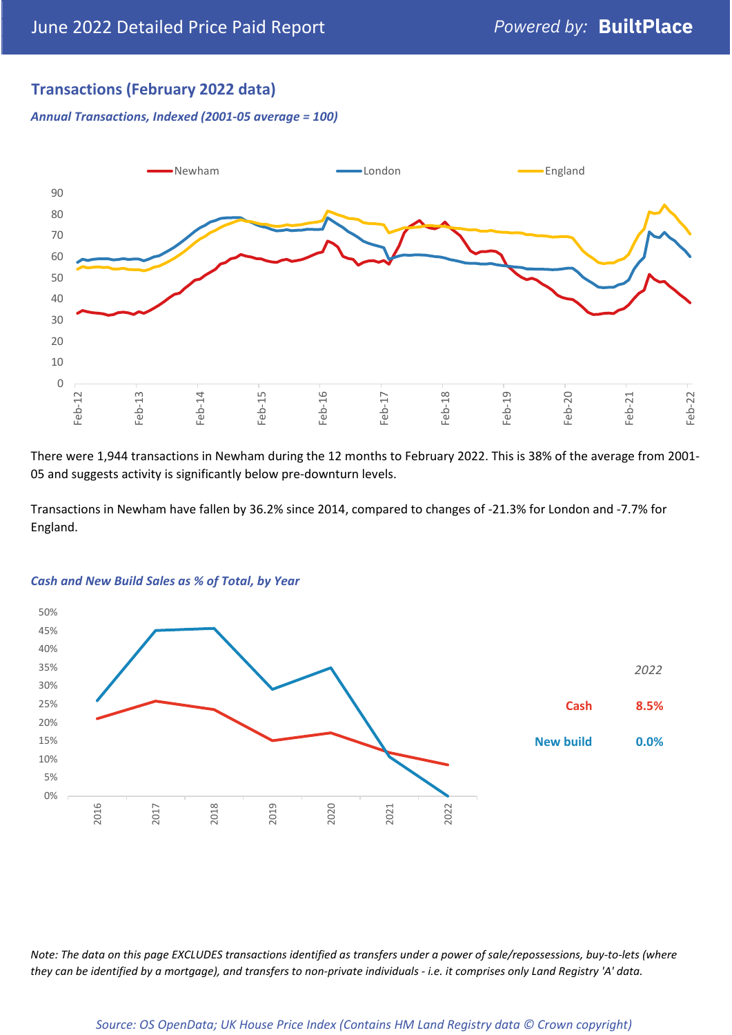# **Transactions (February 2022 data)**

*Annual Transactions, Indexed (2001-05 average = 100)*



There were 1,944 transactions in Newham during the 12 months to February 2022. This is 38% of the average from 2001- 05 and suggests activity is significantly below pre-downturn levels.

Transactions in Newham have fallen by 36.2% since 2014, compared to changes of -21.3% for London and -7.7% for England.



#### *Cash and New Build Sales as % of Total, by Year*

*Note: The data on this page EXCLUDES transactions identified as transfers under a power of sale/repossessions, buy-to-lets (where they can be identified by a mortgage), and transfers to non-private individuals - i.e. it comprises only Land Registry 'A' data.*